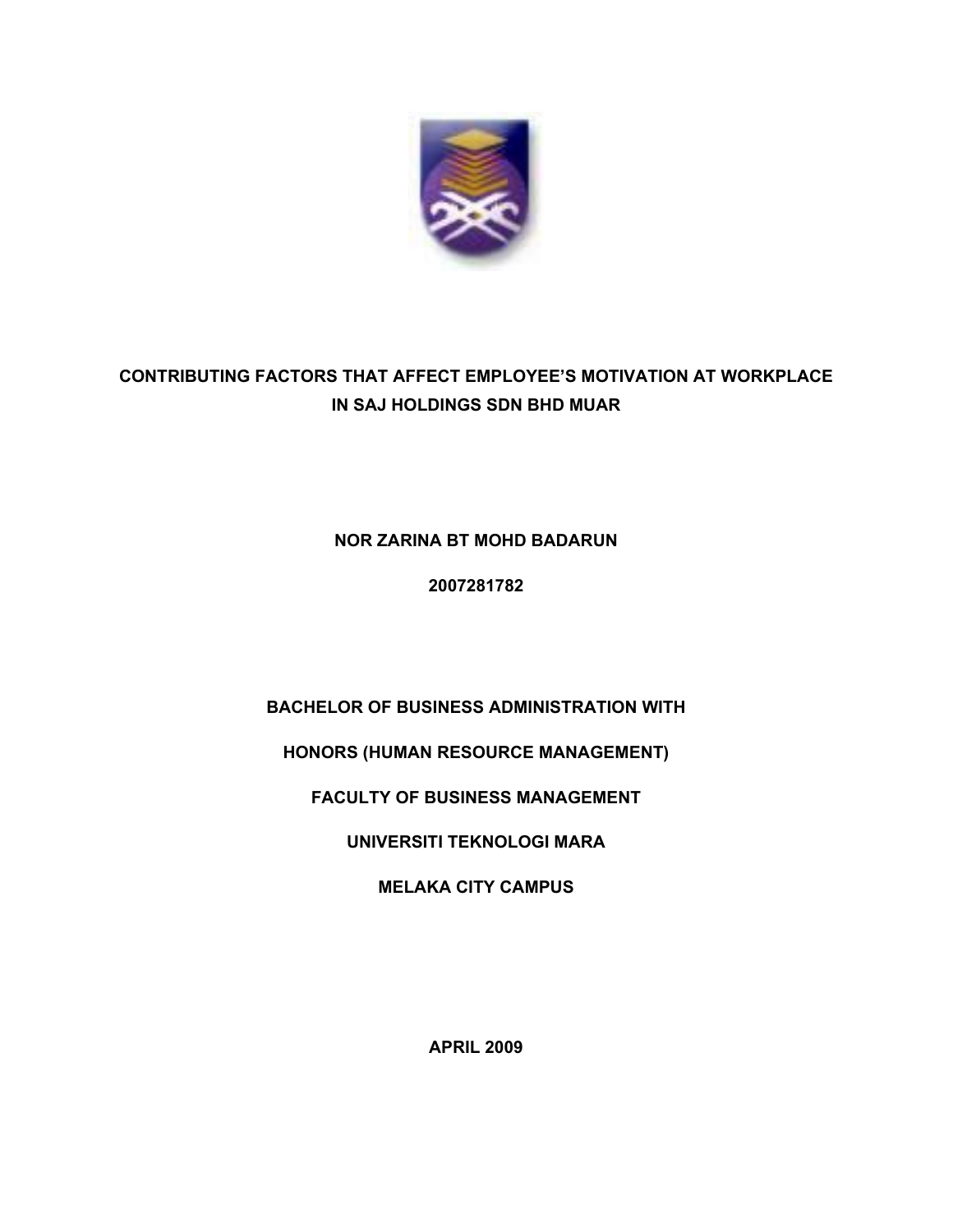

# **CONTRIBUTING FACTORS THAT AFFECT EMPLOYEE'S MOTIVATION AT WORKPLACE IN SAJ HOLDINGS SDN BHD MUAR**

# **NOR ZARINA BT MOHD BADARUN**

**2007281782** 

# **BACHELOR OF BUSINESS ADMINISTRATION WITH**

# **HONORS (HUMAN RESOURCE MANAGEMENT)**

# **FACULTY OF BUSINESS MANAGEMENT**

**UNIVERSITI TEKNOLOGI MARA** 

**MELAKA CITY CAMPUS** 

**APRIL 2009**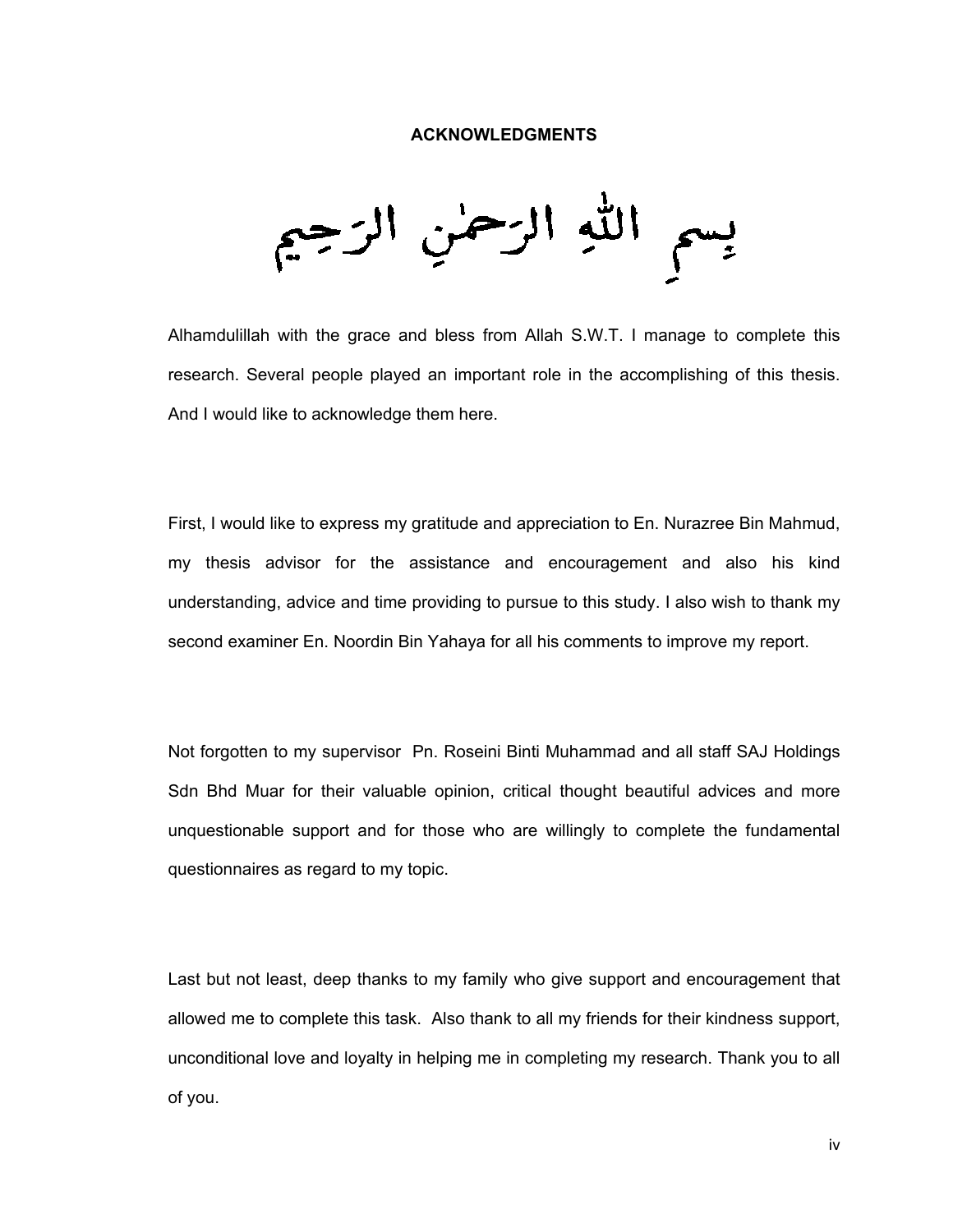#### **ACKNOWLEDGMENTS**

يسم الله الزحمن الزجيم

Alhamdulillah with the grace and bless from Allah S.W.T. I manage to complete this research. Several people played an important role in the accomplishing of this thesis. And I would like to acknowledge them here.

First, I would like to express my gratitude and appreciation to En. Nurazree Bin Mahmud, my thesis advisor for the assistance and encouragement and also his kind understanding, advice and time providing to pursue to this study. I also wish to thank my second examiner En. Noordin Bin Yahaya for all his comments to improve my report.

Not forgotten to my supervisor Pn. Roseini Binti Muhammad and all staff SAJ Holdings Sdn Bhd Muar for their valuable opinion, critical thought beautiful advices and more unquestionable support and for those who are willingly to complete the fundamental questionnaires as regard to my topic.

Last but not least, deep thanks to my family who give support and encouragement that allowed me to complete this task. Also thank to all my friends for their kindness support, unconditional love and loyalty in helping me in completing my research. Thank you to all of you.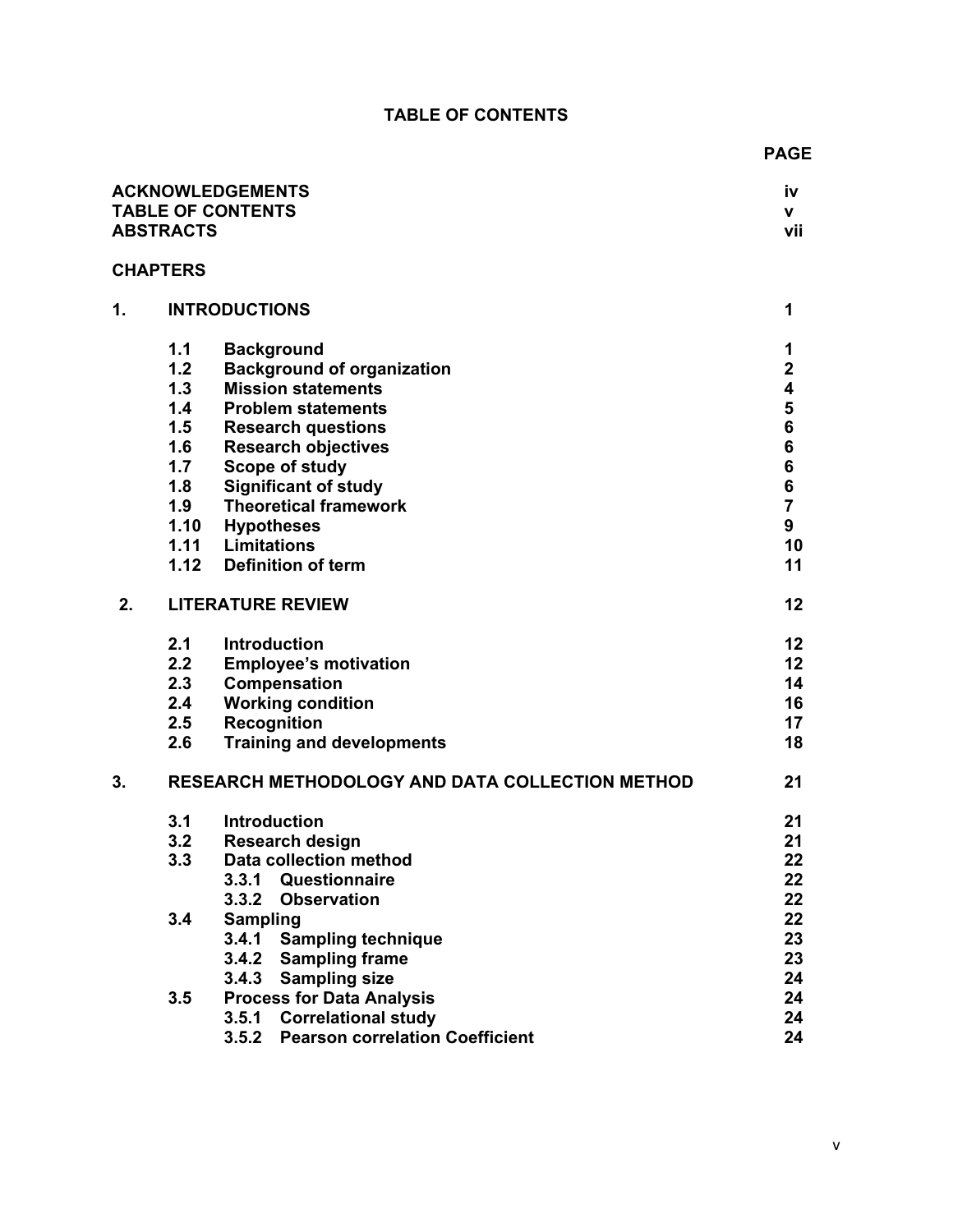# **TABLE OF CONTENTS**

|                          |                                                 | <b>ACKNOWLEDGEMENTS</b>                                        | iv                      |
|--------------------------|-------------------------------------------------|----------------------------------------------------------------|-------------------------|
| <b>TABLE OF CONTENTS</b> |                                                 |                                                                | v                       |
|                          | <b>ABSTRACTS</b>                                |                                                                | vii                     |
|                          | <b>CHAPTERS</b>                                 |                                                                |                         |
| 1.                       | <b>INTRODUCTIONS</b>                            |                                                                | 1                       |
|                          |                                                 |                                                                |                         |
|                          | 1.1                                             | <b>Background</b>                                              | 1                       |
|                          | 1.2                                             | <b>Background of organization</b><br><b>Mission statements</b> | $\overline{\mathbf{2}}$ |
|                          | 1.3                                             |                                                                | 4                       |
|                          | 1.4                                             | <b>Problem statements</b>                                      | 5                       |
|                          | 1.5                                             | <b>Research questions</b>                                      | 6                       |
|                          | 1.6                                             | <b>Research objectives</b>                                     | 6                       |
|                          | 1.7                                             | <b>Scope of study</b>                                          | 6                       |
|                          | 1.8                                             | <b>Significant of study</b>                                    | 6                       |
|                          | 1.9                                             | <b>Theoretical framework</b>                                   | $\overline{7}$          |
|                          | 1.10<br>1.11                                    | <b>Hypotheses</b><br><b>Limitations</b>                        | 9                       |
|                          |                                                 |                                                                | 10                      |
|                          | 1.12                                            | <b>Definition of term</b>                                      | 11                      |
| 2.                       | <b>LITERATURE REVIEW</b>                        |                                                                | 12                      |
|                          | 2.1                                             | <b>Introduction</b>                                            | 12                      |
|                          | 2.2                                             | <b>Employee's motivation</b>                                   | 12 <sub>2</sub>         |
|                          | 2.3                                             | Compensation                                                   | 14                      |
|                          | 2.4                                             | <b>Working condition</b>                                       | 16                      |
|                          | 2.5                                             | <b>Recognition</b>                                             | 17                      |
|                          | 2.6                                             | <b>Training and developments</b>                               | 18                      |
| 3.                       | RESEARCH METHODOLOGY AND DATA COLLECTION METHOD |                                                                | 21                      |
|                          | 3.1                                             | <b>Introduction</b>                                            | 21                      |
|                          | 3.2                                             | <b>Research design</b>                                         | 21                      |
|                          | 3.3                                             | Data collection method                                         | 22                      |
|                          |                                                 | 3.3.1 Questionnaire                                            | 22                      |
|                          |                                                 | 3.3.2<br><b>Observation</b>                                    | 22                      |
|                          | 3.4                                             | <b>Sampling</b>                                                | 22                      |
|                          |                                                 | 3.4.1<br><b>Sampling technique</b>                             | 23                      |
|                          |                                                 | 3.4.2<br><b>Sampling frame</b>                                 | 23                      |
|                          |                                                 | 3.4.3<br><b>Sampling size</b>                                  | 24                      |
|                          | 3.5                                             | <b>Process for Data Analysis</b>                               | 24                      |
|                          |                                                 | <b>Correlational study</b><br>3.5.1                            | 24                      |
|                          |                                                 | 3.5.2 Pearson correlation Coefficient                          | 24                      |
|                          |                                                 |                                                                |                         |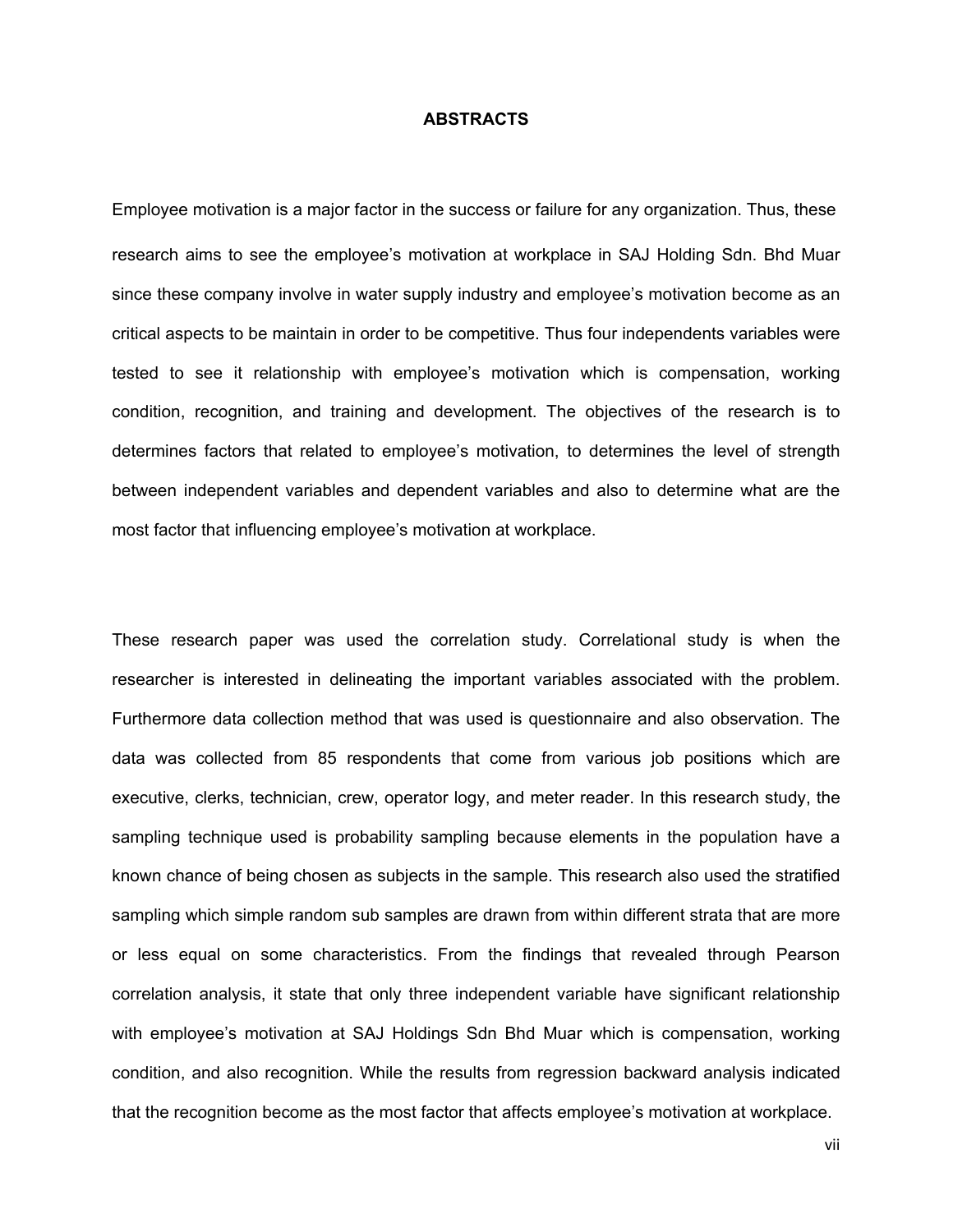#### **ABSTRACTS**

Employee motivation is a major factor in the success or failure for any organization. Thus, these research aims to see the employee's motivation at workplace in SAJ Holding Sdn. Bhd Muar since these company involve in water supply industry and employee's motivation become as an critical aspects to be maintain in order to be competitive. Thus four independents variables were tested to see it relationship with employee's motivation which is compensation, working condition, recognition, and training and development. The objectives of the research is to determines factors that related to employee's motivation, to determines the level of strength between independent variables and dependent variables and also to determine what are the most factor that influencing employee's motivation at workplace.

These research paper was used the correlation study. Correlational study is when the researcher is interested in delineating the important variables associated with the problem. Furthermore data collection method that was used is questionnaire and also observation. The data was collected from 85 respondents that come from various job positions which are executive, clerks, technician, crew, operator logy, and meter reader. In this research study, the sampling technique used is probability sampling because elements in the population have a known chance of being chosen as subjects in the sample. This research also used the stratified sampling which simple random sub samples are drawn from within different strata that are more or less equal on some characteristics. From the findings that revealed through Pearson correlation analysis, it state that only three independent variable have significant relationship with employee's motivation at SAJ Holdings Sdn Bhd Muar which is compensation, working condition, and also recognition. While the results from regression backward analysis indicated that the recognition become as the most factor that affects employee's motivation at workplace.